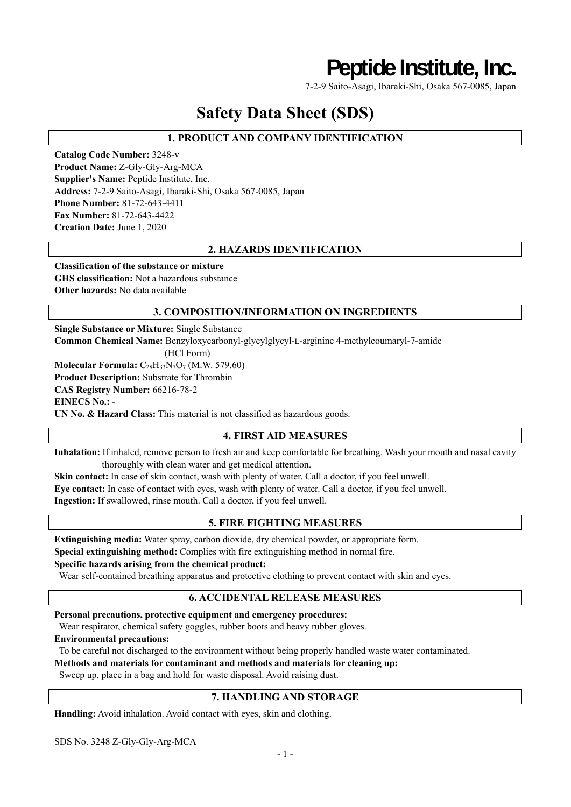# **Peptide Institute, Inc.**

7-2-9 Saito-Asagi, Ibaraki-Shi, Osaka 567-0085, Japan

# **Safety Data Sheet (SDS)**

# **1. PRODUCT AND COMPANY IDENTIFICATION**

**Catalog Code Number:** 3248-v **Product Name:** Z-Gly-Gly-Arg-MCA **Supplier's Name:** Peptide Institute, Inc. **Address:** 7-2-9 Saito-Asagi, Ibaraki-Shi, Osaka 567-0085, Japan **Phone Number:** 81-72-643-4411 **Fax Number:** 81-72-643-4422 **Creation Date:** June 1, 2020

# **2. HAZARDS IDENTIFICATION**

### **Classification of the substance or mixture**

**GHS classification:** Not a hazardous substance **Other hazards:** No data available

### **3. COMPOSITION/INFORMATION ON INGREDIENTS**

**Single Substance or Mixture:** Single Substance **Common Chemical Name:** Benzyloxycarbonyl-glycylglycyl-L-arginine 4-methylcoumaryl-7-amide (HCl Form) **Molecular Formula:** C<sub>28</sub>H<sub>33</sub>N<sub>7</sub>O<sub>7</sub> (M.W. 579.60) **Product Description:** Substrate for Thrombin **CAS Registry Number:** 66216-78-2

**EINECS No.:** -

**UN No. & Hazard Class:** This material is not classified as hazardous goods.

# **4. FIRST AID MEASURES**

**Inhalation:** If inhaled, remove person to fresh air and keep comfortable for breathing. Wash your mouth and nasal cavity thoroughly with clean water and get medical attention.

**Skin contact:** In case of skin contact, wash with plenty of water. Call a doctor, if you feel unwell. **Eye contact:** In case of contact with eyes, wash with plenty of water. Call a doctor, if you feel unwell. **Ingestion:** If swallowed, rinse mouth. Call a doctor, if you feel unwell.

# **5. FIRE FIGHTING MEASURES**

**Extinguishing media:** Water spray, carbon dioxide, dry chemical powder, or appropriate form.

**Special extinguishing method:** Complies with fire extinguishing method in normal fire.

### **Specific hazards arising from the chemical product:**

Wear self-contained breathing apparatus and protective clothing to prevent contact with skin and eyes.

### **6. ACCIDENTAL RELEASE MEASURES**

### **Personal precautions, protective equipment and emergency procedures:**

Wear respirator, chemical safety goggles, rubber boots and heavy rubber gloves.

**Environmental precautions:** 

To be careful not discharged to the environment without being properly handled waste water contaminated.

### **Methods and materials for contaminant and methods and materials for cleaning up:**

Sweep up, place in a bag and hold for waste disposal. Avoid raising dust.

### **7. HANDLING AND STORAGE**

**Handling:** Avoid inhalation. Avoid contact with eyes, skin and clothing.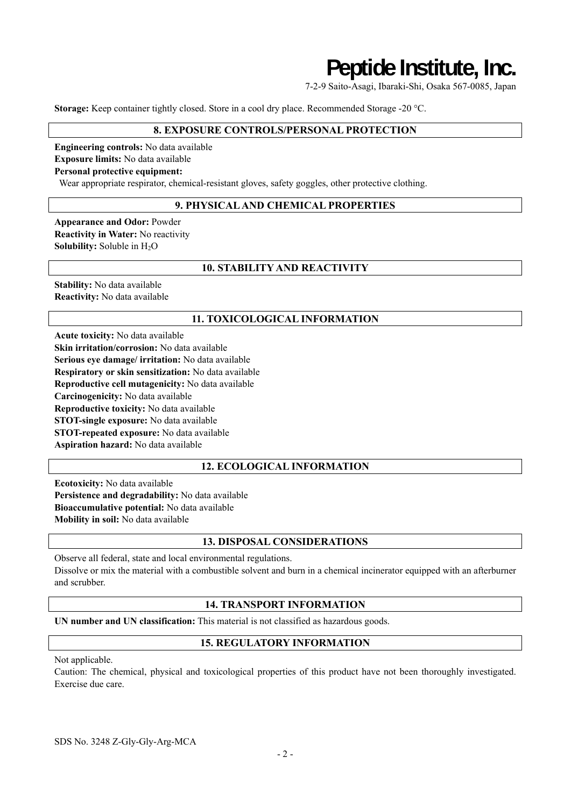# **Peptide Institute, Inc.**

7-2-9 Saito-Asagi, Ibaraki-Shi, Osaka 567-0085, Japan

**Storage:** Keep container tightly closed. Store in a cool dry place. Recommended Storage -20 °C.

### **8. EXPOSURE CONTROLS/PERSONAL PROTECTION**

**Engineering controls:** No data available **Exposure limits:** No data available

### **Personal protective equipment:**

Wear appropriate respirator, chemical-resistant gloves, safety goggles, other protective clothing.

### **9. PHYSICAL AND CHEMICAL PROPERTIES**

**Appearance and Odor:** Powder **Reactivity in Water:** No reactivity **Solubility:** Soluble in H<sub>2</sub>O

### **10. STABILITY AND REACTIVITY**

**Stability:** No data available **Reactivity:** No data available

### **11. TOXICOLOGICAL INFORMATION**

**Acute toxicity:** No data available **Skin irritation/corrosion:** No data available **Serious eye damage/ irritation:** No data available **Respiratory or skin sensitization:** No data available **Reproductive cell mutagenicity:** No data available **Carcinogenicity:** No data available **Reproductive toxicity:** No data available **STOT-single exposure:** No data available **STOT-repeated exposure:** No data available **Aspiration hazard:** No data available

### **12. ECOLOGICAL INFORMATION**

**Ecotoxicity:** No data available **Persistence and degradability:** No data available **Bioaccumulative potential:** No data available **Mobility in soil:** No data available

## **13. DISPOSAL CONSIDERATIONS**

Observe all federal, state and local environmental regulations. Dissolve or mix the material with a combustible solvent and burn in a chemical incinerator equipped with an afterburner and scrubber.

# **14. TRANSPORT INFORMATION**

**UN number and UN classification:** This material is not classified as hazardous goods.

### **15. REGULATORY INFORMATION**

Not applicable.

Caution: The chemical, physical and toxicological properties of this product have not been thoroughly investigated. Exercise due care.